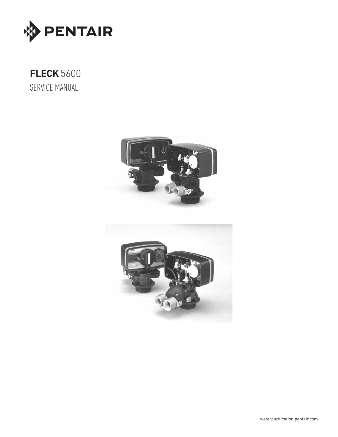

# **FLECK**5600 SERVICE MANUAL

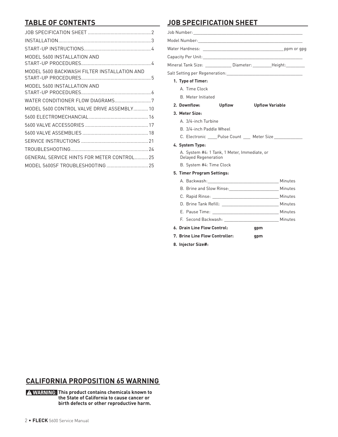# **TABLE OF CONTENTS**

| MODEL 5600 INSTALLATION AND                 |  |
|---------------------------------------------|--|
| MODEL 5600 BACKWASH FILTER INSTALLATION AND |  |
| MODEL 5600 INSTALLATION AND                 |  |
|                                             |  |
| MODEL 5600 CONTROL VALVE DRIVE ASSEMBLY10   |  |
|                                             |  |
|                                             |  |
|                                             |  |
|                                             |  |
|                                             |  |
| GENERAL SERVICE HINTS FOR METER CONTROL25   |  |
|                                             |  |
|                                             |  |

# **JOB SPECIFICATION SHEET**

|                             |                                              | Mineral Tank Size: ___________                       Diameter: ________Height:_______ |
|-----------------------------|----------------------------------------------|---------------------------------------------------------------------------------------|
|                             |                                              |                                                                                       |
| 1. Type of Timer:           |                                              |                                                                                       |
| A Time Clock                |                                              |                                                                                       |
| <b>B.</b> Meter Initiated   |                                              |                                                                                       |
| 2. Downflow: Upflow         |                                              | <b>Upflow Variable</b>                                                                |
| 3. Meter Size:              |                                              |                                                                                       |
| A. 3/4-inch Turbine         |                                              |                                                                                       |
| B. 3/4-inch Paddle Wheel    |                                              |                                                                                       |
|                             |                                              | C. Electronic Pulse Count Meter Size                                                  |
| 4. System Type:             |                                              |                                                                                       |
| Delayed Regeneration        | A. System #4: 1 Tank, 1 Meter, Immediate, or |                                                                                       |
| B. System #4: Time Clock    |                                              |                                                                                       |
| 5. Timer Program Settings:  |                                              |                                                                                       |
|                             |                                              |                                                                                       |
|                             |                                              | B. Brine and Slow Rinse: Minutes                                                      |
|                             |                                              |                                                                                       |
|                             |                                              | D. Brine Tank Refill: _________________________________ Minutes                       |
|                             |                                              |                                                                                       |
|                             |                                              | F. Second Backwash: _____________________________ Minutes                             |
| 6. Drain Line Flow Control: |                                              | gpm                                                                                   |

- **7. Brine Line Flow Controller: gpm**
- **8. Injector Size#:**

# **CALIFORNIA PROPOSITION 65 WARNING**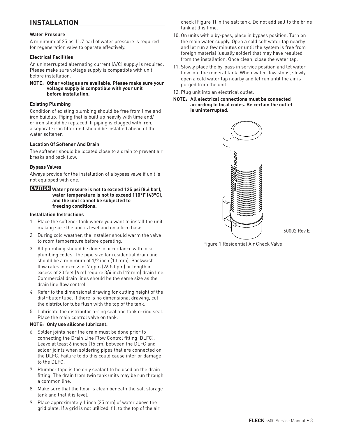## **INSTALLATION**

#### **Water Pressure**

A minimum of 25 psi (1.7 bar) of water pressure is required for regeneration valve to operate effectively.

#### **Electrical Facilities**

An uninterrupted alternating current (A/C) supply is required. Please make sure voltage supply is compatible with unit before installation.

**NOTE: Other voltages are available. Please make sure your voltage supply is compatible with your unit before installation.**

#### **Existing Plumbing**

Condition of existing plumbing should be free from lime and iron buildup. Piping that is built up heavily with lime and/ or iron should be replaced. If piping is clogged with iron, a separate iron filter unit should be installed ahead of the water softener.

#### **Location Of Softener And Drain**

The softener should be located close to a drain to prevent air breaks and back flow.

#### **Bypass Valves**

Always provide for the installation of a bypass valve if unit is not equipped with one.

**CAUTION Water pressure is not to exceed 125 psi (8.6 bar), water temperature is not to exceed 110°F (43°C), and the unit cannot be subjected to freezing conditions.**

#### **Installation Instructions**

- 1. Place the softener tank where you want to install the unit making sure the unit is level and on a firm base.
- 2. During cold weather, the installer should warm the valve to room temperature before operating.
- 3. All plumbing should be done in accordance with local plumbing codes. The pipe size for residential drain line should be a minimum of 1/2 inch (13 mm). Backwash flow rates in excess of 7 gpm (26.5 Lpm) or length in excess of 20 feet (6 m) require 3/4 inch (19 mm) drain line. Commercial drain lines should be the same size as the drain line flow control.
- 4. Refer to the dimensional drawing for cutting height of the distributor tube. If there is no dimensional drawing, cut the distributor tube flush with the top of the tank.
- 5. Lubricate the distributor o-ring seal and tank o-ring seal. Place the main control valve on tank.

#### **NOTE: Only use silicone lubricant.**

- 6. Solder joints near the drain must be done prior to connecting the Drain Line Flow Control fitting (DLFC). Leave at least 6 inches (15 cm) between the DLFC and solder joints when soldering pipes that are connected on the DLFC. Failure to do this could cause interior damage to the DLFC.
- 7. Plumber tape is the only sealant to be used on the drain fitting. The drain from twin tank units may be run through a common line.
- 8. Make sure that the floor is clean beneath the salt storage tank and that it is level.
- 9. Place approximately 1 inch (25 mm) of water above the grid plate. If a grid is not utilized, fill to the top of the air

check (Figure 1) in the salt tank. Do not add salt to the brine tank at this time.

- 10. On units with a by-pass, place in bypass position. Turn on the main water supply. Open a cold soft water tap nearby and let run a few minutes or until the system is free from foreign material (usually solder) that may have resulted from the installation. Once clean, close the water tap.
- 11. Slowly place the by-pass in service position and let water flow into the mineral tank. When water flow stops, slowly open a cold water tap nearby and let run until the air is purged from the unit.
- 12. Plug unit into an electrical outlet.
- **NOTE: All electrical connections must be connected according to local codes. Be certain the outlet is uninterrupted.**



60002 Rev E

Figure 1 Residential Air Check Valve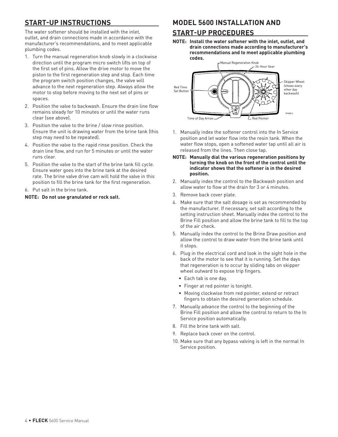# **START-UP INSTRUCTIONS**

The water softener should be installed with the inlet, outlet, and drain connections made in accordance with the manufacturer's recommendations, and to meet applicable plumbing codes.

- 1. Turn the manual regeneration knob slowly in a clockwise direction until the program micro switch lifts on top of the first set of pins. Allow the drive motor to move the piston to the first regeneration step and stop. Each time the program switch position changes, the valve will advance to the next regeneration step. Always allow the motor to stop before moving to the next set of pins or spaces.
- 2. Position the valve to backwash. Ensure the drain line flow remains steady for 10 minutes or until the water runs clear (see above).
- 3. Position the valve to the brine / slow rinse position. Ensure the unit is drawing water from the brine tank (this step may need to be repeated).
- 4. Position the valve to the rapid rinse position. Check the drain line flow, and run for 5 minutes or until the water runs clear.
- 5. Position the valve to the start of the brine tank fill cycle. Ensure water goes into the brine tank at the desired rate. The brine valve drive cam will hold the valve in this position to fill the brine tank for the first regeneration.
- 6. Put salt in the brine tank.

#### **NOTE: Do not use granulated or rock salt.**

# **MODEL 5600 INSTALLATION AND START-UP PROCEDURES**

**NOTE: Install the water softener with the inlet, outlet, and drain connections made according to manufacturer's recommendations and to meet applicable plumbing codes.**



- 1. Manually index the softener control into the In Service position and let water flow into the resin tank. When the water flow stops, open a softened water tap until all air is released from the lines. Then close tap.
- **NOTE: Manually dial the various regeneration positions by turning the knob on the front of the control until the indicator shows that the softener is in the desired position.**
- 2. Manually index the control to the Backwash position and allow water to flow at the drain for 3 or 4 minutes.
- 3. Remove back cover plate.
- 4. Make sure that the salt dosage is set as recommended by the manufacturer. If necessary, set salt according to the setting instruction sheet. Manually index the control to the Brine Fill position and allow the brine tank to fill to the top of the air check.
- 5. Manually index the control to the Brine Draw position and allow the control to draw water from the brine tank until it stops.
- 6. Plug in the electrical cord and look in the sight hole in the back of the motor to see that it is running. Set the days that regeneration is to occur by sliding tabs on skipper wheel outward to expose trip fingers.
	- Each tab is one day.
	- Finger at red pointer is tonight.
	- Moving clockwise from red pointer, extend or retract fingers to obtain the desired generation schedule.
- 7. Manually advance the control to the beginning of the Brine Fill position and allow the control to return to the In Service position automatically.
- 8. Fill the brine tank with salt.
- 9. Replace back cover on the control.
- 10. Make sure that any bypass valving is left in the normal In Service position.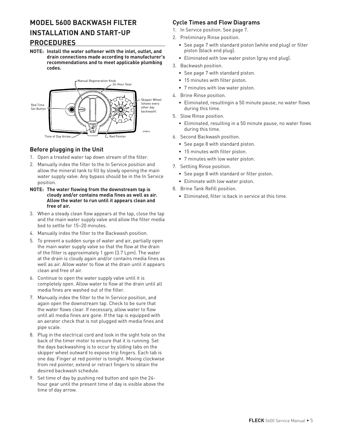# **MODEL 5600 BACKWASH FILTER INSTALLATION AND START-UP PROCEDURES**

**NOTE: Install the water softener with the inlet, outlet, and drain connections made according to manufacturer's recommendations and to meet applicable plumbing codes.**



### **Before plugging in the Unit**

- 1. Open a treated water tap down stream of the filter.
- 2. Manually index the filter to the In Service position and allow the mineral tank to fill by slowly opening the main water supply valve. Any bypass should be in the In Service position.
- **NOTE: The water flowing from the downstream tap is cloudy and/or contains media fines as well as air. Allow the water to run until it appears clean and free of air.**
- 3. When a steady clean flow appears at the tap, close the tap and the main water supply valve and allow the filter media bed to settle for 15–20 minutes.
- 4. Manually index the filter to the Backwash position.
- 5. To prevent a sudden surge of water and air, partially open the main water supply valve so that the flow at the drain of the filter is approximately 1 gpm (3.7 Lpm). The water at the drain is cloudy again and/or contains media fines as well as air. Allow water to flow at the drain until it appears clean and free of air.
- 6. Continue to open the water supply valve until it is completely open. Allow water to flow at the drain until all media fines are washed out of the filter.
- 7. Manually index the filter to the In Service position, and again open the downstream tap. Check to be sure that the water flows clear. If necessary, allow water to flow until all media fines are gone. If the tap is equipped with an aerator check that is not plugged with media fines and pipe scale.
- 8. Plug in the electrical cord and look in the sight hole on the back of the timer motor to ensure that it is running. Set the days backwashing is to occur by sliding tabs on the skipper wheel outward to expose trip fingers. Each tab is one day. Finger at red pointer is tonight. Moving clockwise from red pointer, extend or retract fingers to obtain the desired backwash schedule.
- 9. Set time of day by pushing red button and spin the 24 hour gear until the present time of day is visible above the time of day arrow.

### **Cycle Times and Flow Diagrams**

- 1. In Service position. See page 7.
- 2. Preliminary Rinse position.
	- See page 7 with standard piston (white end plug) or filter piston (black end plug).
	- Eliminated with low water piston (gray end plug).
- 3. Backwash position.
	- See page 7 with standard piston.
	- 15 minutes with filter piston.
	- 7 minutes with low water piston.
- 4. Brine Rinse position.
	- Eliminated, resultingin a 50 minute pause, no water flows during this time.
- 5. Slow Rinse position.
	- Eliminated, resulting in a 50 minute pause, no water flows during this time.
- 6. Second Backwash position.
	- See page 8 with standard piston.
	- 15 minutes with filter piston.
	- 7 minutes with low water piston.
- 7. Settling Rinse position.
	- See page 8 with standard or filter piston.
	- Eliminate with low water piston.
- 8. Brine Tank Refill position.
	- Eliminated, filter is back in service at this time.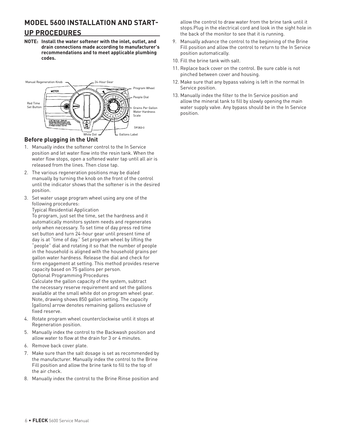# **MODEL 5600 INSTALLATION AND START-UP PROCEDURES**

**NOTE: Install the water softener with the inlet, outlet, and drain connections made according to manufacturer's recommendations and to meet applicable plumbing codes.**



#### **Before plugging in the Unit**

- 1. Manually index the softener control to the In Service position and let water flow into the resin tank. When the water flow stops, open a softened water tap until all air is released from the lines. Then close tap.
- 2. The various regeneration positions may be dialed manually by turning the knob on the front of the control until the indicator shows that the softener is in the desired position.
- 3. Set water usage program wheel using any one of the following procedures:

Typical Residential Application

To program, just set the time, set the hardness and it automatically monitors system needs and regenerates only when necessary. To set time of day press red time set button and turn 24-hour gear until present time of day is at "time of day." Set program wheel by lifting the "people" dial and rotating it so that the number of people in the household is aligned with the household grains per gallon water hardness. Release the dial and check for firm engagement at setting. This method provides reserve capacity based on 75 gallons per person.

Optional Programming Procedures

Calculate the gallon capacity of the system, subtract the necessary reserve requirement and set the gallons available at the small white dot on program wheel gear. Note, drawing shows 850 gallon setting. The capacity (gallons) arrow denotes remaining gallons exclusive of fixed reserve.

- 4. Rotate program wheel counterclockwise until it stops at Regeneration position.
- 5. Manually index the control to the Backwash position and allow water to flow at the drain for 3 or 4 minutes.
- 6. Remove back cover plate.
- 7. Make sure than the salt dosage is set as recommended by the manufacturer. Manually index the control to the Brine Fill position and allow the brine tank to fill to the top of the air check.
- 8. Manually index the control to the Brine Rinse position and

allow the control to draw water from the brine tank until it stops.Plug in the electrical cord and look in the sight hole in the back of the monitor to see that it is running.

- 9. Manually advance the control to the beginning of the Brine Fill position and allow the control to return to the In Service position automatically.
- 10. Fill the brine tank with salt.
- 11. Replace back cover on the control. Be sure cable is not pinched between cover and housing.
- 12. Make sure that any bypass valving is left in the normal In Service position.
- 13. Manually index the filter to the In Service position and allow the mineral tank to fill by slowly opening the main water supply valve. Any bypass should be in the In Service position.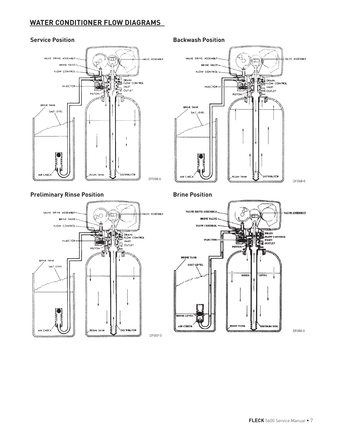# **WATER CONDITIONER FLOW DIAGRAMS**



## **Preliminary Rinse Position Brine Position**



#### **Service Position Backwash Position**



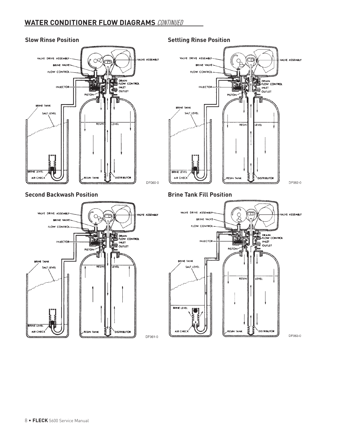# **WATER CONDITIONER FLOW DIAGRAMS CONTINUED**



### **Second Backwash Position Brine Tank Fill Position**



#### **Slow Rinse Position Settling Rinse Position**



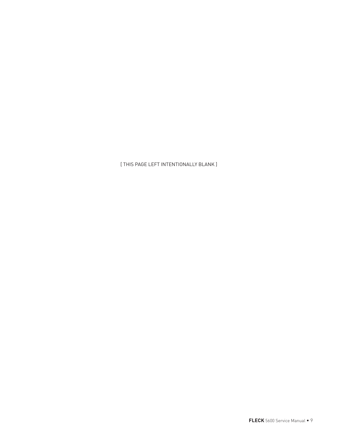[ THIS PAGE LEFT INTENTIONALLY BLANK ]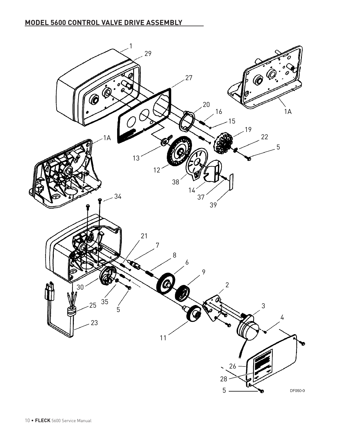## **MODEL 5600 CONTROL VALVE DRIVE ASSEMBLY**

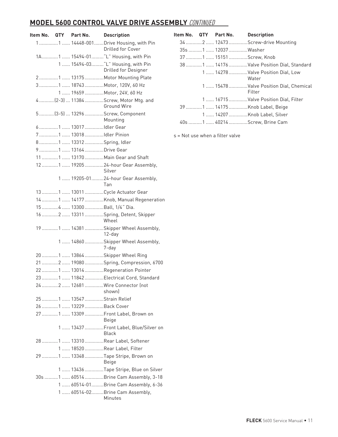# **MODEL 5600 CONTROL VALVE DRIVE ASSEMBLY** CONTINUED

| Item No. | <b>QTY</b> | Part No.                      | <b>Description</b>                                                |
|----------|------------|-------------------------------|-------------------------------------------------------------------|
|          |            |                               | 1 1  14448-001Drive Housing, with Pin<br>Drilled for Cover        |
|          |            |                               | 1A1  15494-01 "L" Housing, with Pin                               |
|          |            |                               | 1  15494-03  "L" Housing, with Pin<br><b>Drilled for Designer</b> |
|          |            |                               | 2 1  13175 Motor Mounting Plate                                   |
|          |            |                               | 3  1  18743  Motor, 120V, 60 Hz                                   |
|          |            |                               | 1  19659  Motor, 24V, 60 Hz                                       |
|          |            |                               | 4  (2-3)  11384 Screw, Motor Mtg. and<br>Ground Wire              |
|          |            |                               | 5 (3-5)  13296Screw, Component<br>Mounting                        |
|          |            | 6  1  13017 Idler Gear        |                                                                   |
|          |            | 71 13018Idler Pinion          |                                                                   |
|          |            |                               |                                                                   |
|          |            | 9  1  13164 Drive Gear        |                                                                   |
|          |            |                               | 11 1  13170 Main Gear and Shaft                                   |
|          |            |                               | 12  1  19205 24-hour Gear Assembly,<br>Silver                     |
|          |            |                               | 1  19205-01  24-hour Gear Assembly,<br>Tan                        |
|          |            |                               |                                                                   |
|          |            |                               |                                                                   |
|          |            | 15  4  13300  Ball, 1/4" Dia. |                                                                   |
|          |            |                               | Wheel                                                             |
|          |            |                               | 19  1  14381 Skipper Wheel Assembly,<br>12-day                    |
|          |            |                               | 1  14860 Skipper Wheel Assembly,<br>7-day                         |
|          |            |                               | 20  1  13864 Skipper Wheel Ring                                   |
|          |            |                               | 21  2  19080  Spring, Compression, 6700                           |
|          |            |                               | 22  1  13014 Regeneration Pointer                                 |
|          |            |                               | 23  1  11842  Electrical Cord, Standard                           |
|          |            |                               | 24 2  12681 Wire Connector (not<br>shownl                         |
|          |            | 25  1  13547 Strain Relief    |                                                                   |
|          |            | 26  1  13229  Back Cover      |                                                                   |
|          |            |                               | 27  1  13309  Front Label, Brown on<br><b>Beige</b>               |
|          |            |                               | 1  13437  Front Label, Blue/Silver on<br><b>Black</b>             |
|          |            |                               |                                                                   |
|          |            |                               | 1  18520 Rear Label, Filter                                       |
|          |            |                               | 29  1  13348 Tape Stripe, Brown on<br>Beige                       |
|          |            |                               | 1  13436 Tape Stripe, Blue on Silver                              |
|          |            |                               | 30s  1  60514  Brine Cam Assembly, 3-18                           |
|          |            |                               | 1  60514-01  Brine Cam Assembly, 6-36                             |
|          |            |                               | 1  60514-02  Brine Cam Assembly,<br>Minutes                       |

|  | ltem No.     QTY      Part No.            Description |                                                   |
|--|-------------------------------------------------------|---------------------------------------------------|
|  |                                                       | 34 2  12473 Screw-drive Mounting                  |
|  | 35s 1  12037 Washer                                   |                                                   |
|  |                                                       |                                                   |
|  |                                                       | 38  1  14176  Valve Position Dial, Standard       |
|  |                                                       | 1 14278Valve Position Dial, Low<br>Water          |
|  |                                                       | 1  15478  Valve Position Dial, Chemical<br>Filter |
|  |                                                       | 1 16715Valve Position Dial, Filter                |
|  |                                                       | 39  1  14175  Knob Label, Beige                   |
|  |                                                       | 1  14207  Knob Label, Silver                      |
|  |                                                       | 40s  1  40214 Screw, Brine Cam                    |

s = Not use when a filter valve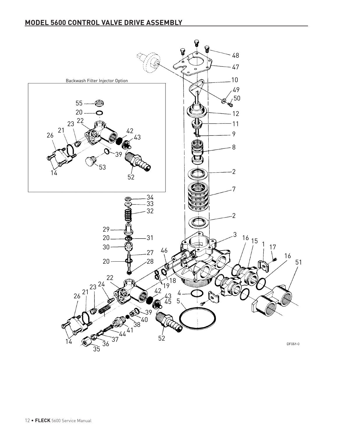## **MODEL 5600 CONTROL VALVE DRIVE ASSEMBLY**

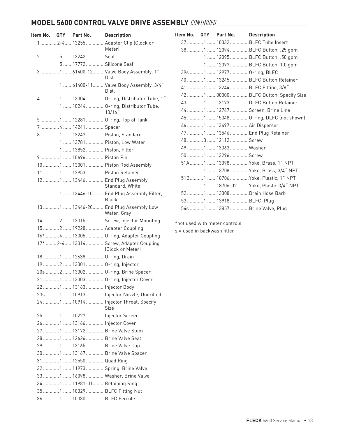## **MODEL 5600 CONTROL VALVE DRIVE ASSEMBLY** CONTINUED

|  | Item No. QTY Part No. Description |                                                            |
|--|-----------------------------------|------------------------------------------------------------|
|  |                                   | 1 2-4 13255 Adapter Clip (Clock or<br>Meterl               |
|  | 25 13242Seal                      |                                                            |
|  | 5  17772  Silicone Seal           |                                                            |
|  |                                   | 3  1  61400-12  Valve Body Assembly, 1"<br>Dist.           |
|  |                                   | 1  61400-11  Valve Body Assembly, 3/4"<br>Dist             |
|  |                                   | 4  1  13304  O-ring, Distributor Tube, 1"                  |
|  |                                   | 1  10244  O-ring, Distributor Tube,<br>13/16"              |
|  |                                   |                                                            |
|  |                                   |                                                            |
|  |                                   | 8 1  13247  Piston, Standard                               |
|  |                                   | 1  13781  Piston, Low Water                                |
|  | 1  13852  Piston, Filter          |                                                            |
|  | 9  1  10696  Piston Pin           |                                                            |
|  |                                   |                                                            |
|  |                                   | 111 12953Piston Retainer                                   |
|  |                                   | 12  1  13446  End Plug Assembly<br>Standard, White         |
|  |                                   | 1  13446-10  End Plug Assembly Filter,<br>Black            |
|  |                                   | 13  1  13446-20  End Plug Assembly Low<br>Water, Gray      |
|  |                                   | 14 2  13315 Screw, Injector Mounting                       |
|  |                                   | 15  2  19228  Adapter Coupling                             |
|  |                                   | 16*  4  13305  O-ring, Adapter Coupling                    |
|  |                                   | 17*  2-4 13314 Screw, Adapter Coupling<br>(Clock or Meter) |
|  | 181  12638 O-ring, Drain          |                                                            |
|  |                                   | 19 2  13301 O-ring, Injector                               |
|  |                                   | 20s  2  13302  O-ring, Brine Spacer                        |
|  |                                   |                                                            |
|  |                                   |                                                            |
|  |                                   | 23s  1  10913U  Injector Nozzle, Undrilled                 |
|  |                                   | 24  1  10914 Injector Throat, Specify<br>Size              |
|  |                                   | 25  1  10227 Injector Screen                               |
|  |                                   |                                                            |
|  |                                   | 27  1  13172  Brine Valve Stem                             |
|  |                                   |                                                            |
|  |                                   | 29  1  13165 Brine Valve Cap                               |
|  |                                   | 30  1  13167 Brine Valve Spacer                            |
|  | 31  1  12550 Quad Ring            |                                                            |
|  |                                   | 32  1  11973 Spring, Brine Valve                           |
|  |                                   | 33  1  16098 Washer, Brine Valve                           |
|  |                                   | 34  1  11981-01  Retaining Ring                            |
|  |                                   | 35  1  10329 BLFC Fitting Nut                              |
|  |                                   |                                                            |

|  | Item No. QTY Part No. Description |                                       |
|--|-----------------------------------|---------------------------------------|
|  |                                   | 37  1  10332  BLFC Tube Insert        |
|  |                                   | 38  1  12094 BLFC Button, .25 gpm     |
|  |                                   | 1  12095 BLFC Button, .50 gpm         |
|  |                                   | 1 12097BLFC Button, 1.0 gpm           |
|  | 39s  1  12977  O-ring, BLFC       |                                       |
|  |                                   | 40  1  13245  BLFC Button Retainer    |
|  |                                   | 41  1  13244 BLFC Fitting, 3/8"       |
|  |                                   |                                       |
|  |                                   |                                       |
|  |                                   | 44 1  12767 Screen, Brine Line        |
|  |                                   | 45 1  15348  O-ring, DLFC (not shown) |
|  | 46 1  13497 Air Disperser         |                                       |
|  |                                   | 47 1  13546  End Plug Retainer        |
|  |                                   |                                       |
|  |                                   |                                       |
|  | 50  1  13296 Screw                |                                       |
|  |                                   | 51A1  13398 Yoke, Brass, 1" NPT       |
|  |                                   | 1  13708  Yoke, Brass, 3/4" NPT       |
|  |                                   | 51B1  18706  Yoke, Plastic, 1" NPT    |
|  |                                   | 1  18706-02  Yoke, Plastic 3/4" NPT   |
|  |                                   | 521 13308Drain Hose Barb              |
|  | 53  1  13918 BLFC, Plug           |                                       |
|  |                                   | 54s  1  13857  Brine Valve, Plug      |
|  |                                   |                                       |

\*not used with meter controls

s = used in backwash filter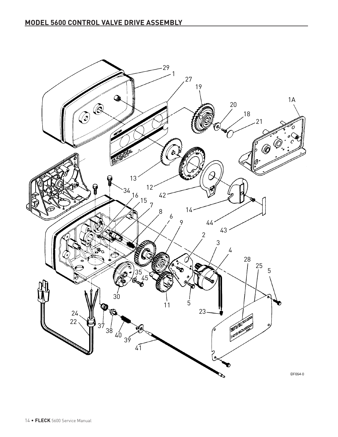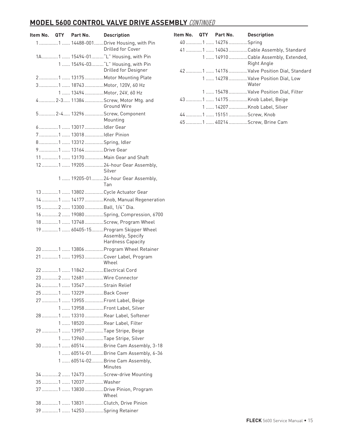# **MODEL 5600 CONTROL VALVE DRIVE ASSEMBLY** CONTINUED

| Item No. | <b>QTY</b> | Part No.                  | <b>Description</b>                                                               |
|----------|------------|---------------------------|----------------------------------------------------------------------------------|
|          |            |                           | 1 1  14488-001Drive Housing, with Pin<br><b>Drilled for Cover</b>                |
|          |            |                           | 1A1  15494-01 "L" Housing, with Pin                                              |
|          |            |                           | 1  15494-03  "L" Housing, with Pin<br><b>Drilled for Designer</b>                |
|          |            |                           | 2 1  13175 Motor Mounting Plate                                                  |
|          |            |                           | 3  1  18743  Motor, 120V, 60 Hz                                                  |
|          |            |                           | 1  13494  Motor, 24V, 60 Hz                                                      |
|          |            |                           | 4  2-3  11384  Screw, Motor Mtg. and<br>Ground Wire                              |
|          |            |                           | 5 2-4 13296Screw, Component<br>Mounting                                          |
|          |            | 6  1  13017 Idler Gear    |                                                                                  |
|          |            | 71  13018Idler Pinion     |                                                                                  |
|          |            |                           |                                                                                  |
|          |            | 9 1  13164 Drive Gear     |                                                                                  |
|          |            |                           | 111 13170Main Gear and Shaft                                                     |
|          |            |                           | 12  1  19205  24-hour Gear Assembly,<br>Silver                                   |
|          |            |                           | 1  19205-01  24-hour Gear Assembly,<br>Tan                                       |
|          |            |                           | 13  1  13802 Cycle Actuator Gear                                                 |
|          |            |                           |                                                                                  |
|          |            |                           | 15  2  13300  Ball, 1/4" Dia.                                                    |
|          |            |                           | 16 2  19080 Spring, Compression, 6700                                            |
|          |            |                           | 18  1  13748 Screw, Program Wheel                                                |
|          |            |                           | 19  1  60405-15  Program Skipper Wheel<br>Assembly, Specify<br>Hardness Capacity |
|          |            |                           | 20  1  13806  Program Wheel Retainer                                             |
|          |            |                           | 21  1  13953  Cover Label, Program<br>Wheel                                      |
|          |            |                           | 22  1  11842  Electrical Cord                                                    |
|          |            |                           | 23  2  12681 Wire Connector                                                      |
|          |            | 24 1  13547 Strain Relief |                                                                                  |
|          |            | 25  1  13229  Back Cover  |                                                                                  |
|          |            |                           | 27  1  13955 Front Label, Beige                                                  |
|          |            |                           | 1  13958  Front Label, Silver                                                    |
|          |            |                           |                                                                                  |
|          |            |                           | 1  18520 Rear Label, Filter                                                      |
|          |            |                           | 29  1  13957 Tape Stripe, Beige                                                  |
|          |            |                           | 1  13960 Tape Stripe, Silver                                                     |
|          |            |                           | 30  1  60514  Brine Cam Assembly, 3-18                                           |
|          |            |                           | 1  60514-01  Brine Cam Assembly, 6-36                                            |
|          |            |                           | 1  60514-02  Brine Cam Assembly,<br>Minutes                                      |
|          |            |                           | 34  2  12473 Screw-drive Mounting                                                |
|          |            | 35  1  12037  Washer      |                                                                                  |
|          |            |                           | 37  1  13830  Drive Pinion, Program<br>Wheel                                     |
|          |            |                           |                                                                                  |
|          |            |                           | 39  1  14253 Spring Retainer                                                     |

| Item No. | QTY Part No.        | <b>Description</b>                              |
|----------|---------------------|-------------------------------------------------|
|          | 40  1  14276 Spring |                                                 |
|          |                     | 41  1  14043 Cable Assembly, Standard           |
|          |                     | 1 14910Cable Assembly, Extended,<br>Right Angle |
|          |                     | 42  1  14176  Valve Position Dial, Standard     |
|          |                     | 1 14278Valve Position Dial, Low<br>Water        |
|          |                     | 1  15478 Valve Position Dial, Filter            |
|          |                     | 43  1  14175  Knob Label, Beige                 |
|          |                     | 1  14207  Knob Label, Silver                    |
|          |                     |                                                 |
|          |                     | 45  1  40214 Screw, Brine Cam                   |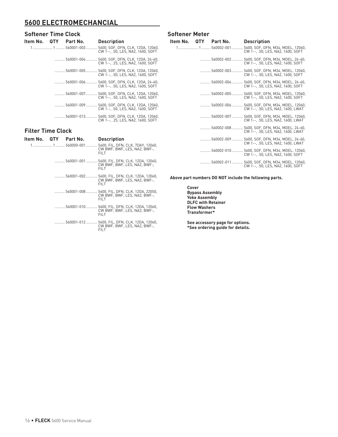# **5600 ELECTROMECHANCIAL**

#### **Softener Time Clock Softener Meter**

| ltem No. | QTY | Part No. | <b>Description</b>                                                                    |
|----------|-----|----------|---------------------------------------------------------------------------------------|
|          |     |          | 1 1 560001-003 5600, SOF, DFN, CLK, 12DA, 12060,<br>CW 1--. .50. LES. NA2. 1600. SOFT |
|          |     |          | 560001-004 5600, SOF, DFN, CLK, 12DA, 24-60,<br>CW 1--. .25. LES. NA2. 1600. SOFT     |
|          |     |          | 560001-005 5600, SOF, DFN, CLK, 12DA, 12060,<br>CW 1--. .50. LES. NA2. 1600. SOFT     |
|          |     |          | 560001-006 5600, SOF, DFN, CLK, 12DA, 24-60,<br>CW 1--, .50, LES, NA2, 1600, SOFT     |
|          |     |          | 560001-007  5600, SOF, DFN, CLK, 12DA, 12060,<br>CW 1--. .50. LES. NA2. 1600. SOFT    |
|          |     |          | 560001-009  5600, SOF, DFN, CLK, 12DA, 12060,<br>CW 1--. .50. LES. NA2. 1600. SOFT    |
|          |     |          | 560001-013 5600, SOF, DFN, CLK, 12DA, 12060,<br>CW 1--, .25, LES, NA2, 1600, SOFT     |

#### **Filter Time Clock**

| Item No. | QTY | Part No. | <b>Description</b>                                                                          |
|----------|-----|----------|---------------------------------------------------------------------------------------------|
|          |     |          | 1 1 560000-001 5600, FIL, DFN, CLK, 7DAY, 12060,<br>CW BWF, BWF, LES, NA2, BWF-,<br>FILT    |
|          |     |          | 560001-001 5600, FIL, DFN, CLK, 12DA, 12060,<br>CW BWF, BWF, LES, NA2, BWF-.<br><b>FILT</b> |
|          |     |          | 560001-002 5600, FIL, DFN, CLK, 12DA, 12060,<br>CW BWF, BWF, LES, NA2, BWF-.<br>FILT        |
|          |     |          | 560001-008 5600, FIL, DFN, CLK, 12DA, 22050,<br>CW BWF, BWF, LES, NA2, BWF-.<br>FILT        |
|          |     |          | 560001-010 5600, FIL, DFN, CLK, 12DA, 12060,<br>CW BWF, BWF, LES, NA2, BWF-.<br>FILT        |
|          |     |          | 560001-012 5600, FIL, DFN, CLK, 12DA, 12060,<br>CW BWF, BWF, LES, NA2, BWF-.<br>FILT        |

|  | ltem No. QTY Part No. Description |                                                                                       |
|--|-----------------------------------|---------------------------------------------------------------------------------------|
|  |                                   | 1 1 560002-001 5600, SOF, DFN, M34, MDEL, 12060,<br>CW 1--, .50, LES, NA2, 1600, SOFT |
|  |                                   | 560002-002 5600, SOF, DFN, M34, MDEL, 24-60,<br>CW 1--, .50, LES, NA2, 1600, SOFT     |
|  |                                   | 560002-003 5600, SOF, DFN, M34, MDEL, 12060,<br>CW 1--, .50, LES, NA2, 1600, SOFT     |
|  |                                   | 560002-004 5600. SOF. DFN. M34. MDEL. 24-60.<br>CW 1--, .50, LES, NA2, 1600, SOFT     |
|  |                                   | 560002-005 5600, SOF, DFN, M34, MDEL, 12060,<br>CW 1--. .50. LES. NA2. 1600. SOFT     |
|  |                                   | 560002-006 5600, SOF, DFN, M34, MDEL, 12060,<br>CW 1--, .50, LES, NA2, 1600, LWAT     |
|  |                                   | 560002-007 5600. SOF. DFN. M34. MDEL. 12060.<br>CW 1--. .50. LES. NA2. 1600. LWAT     |
|  |                                   | 560002-008 5600, SOF, DFN, M34, MDEL, 24-60,<br>CW 1--. .50, LES, NA2, 1600, LWAT     |
|  |                                   | 560002-009 5600, SOF, DFN, M34, MDEL, 24-60,<br>CW 1--, .50, LES, NA2, 1600, LWAT     |
|  |                                   | 560002-010 5600, SOF, DFN, M34, MDEL, 12060,<br>CW 1--, .50, LES, NA2, 1600, SOFT     |
|  |                                   | 560002-011 5600, SOF, DFN, M34, MDEL, 12060,<br>CW 1--, .50, LES, NA2, 1600, SOFT     |

**Above part numbers DO NOT include the following parts.** 

**Cover Bypass Assembly Yoke Assembly DLFC with Retainer Flow Washers Transformer\***

**See accessory page for options. \*See ordering guide for details.**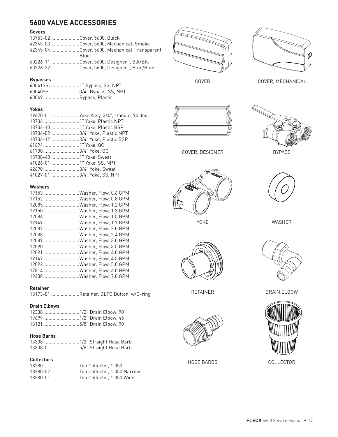# **5600 VALVE ACCESSORIES**

#### **Covers**

| 13753-02 Cover, 5600, Black |                                               |
|-----------------------------|-----------------------------------------------|
|                             | 42345-03 Cover. 5600. Mechanical. Smoke       |
|                             | 42345-04 Cover, 5600, Mechanical, Transparent |
|                             | <b>Blue</b>                                   |
|                             | 60226-11 Cover, 5600, Designer I, Blk/Blk     |
|                             | 60226-22 Cover, 5600, Designer I, Blue/Blue   |

#### **Bypasses**

|                      | 60041SS1" Bypass, SS, NPT   |
|----------------------|-----------------------------|
|                      | 60040SS3/4" Bypass, SS, NPT |
| 60049Bypass, Plastic |                             |

#### **Yokes**

|                               | 19620-01 Yoke Assy, 3/4", r/angle, 90 deg. |
|-------------------------------|--------------------------------------------|
|                               |                                            |
| 18706-10 1" Yoke, Plastic BSP |                                            |
|                               | 18706-02 3/4" Yoke, Plastic NPT            |
|                               | 18706-12 3/4" Yoke, Plastic BSP            |
|                               |                                            |
| 617003/4" Yoke, QC            |                                            |
| 13708-40 1" Yoke, Sweat       |                                            |
| 41026-01 1" Yoke, SS, NPT     |                                            |
| 426903/4" Yoke, Sweat         |                                            |
| 41027-01 3/4" Yoke, SS, NPT   |                                            |

#### **Washers**

| 19153Washer, Flow, 0.6 GPM |
|----------------------------|
| 19152Washer, Flow, 0.8 GPM |
| 12085Washer, Flow, 1.2 GPM |
| 19150Washer, Flow, 1.3 GPM |
| 12086Washer, Flow, 1.5 GPM |
| 19149Washer, Flow, 1.7 GPM |
| 12087Washer, Flow, 2.0 GPM |
| 12088Washer, Flow, 2.4 GPM |
| 12089Washer, Flow, 3.0 GPM |
| 12090Washer, Flow, 3.5 GPM |
| 12091Washer, Flow, 4.0 GPM |
| 19147Washer, Flow, 4.5 GPM |
| 12092Washer, Flow, 5.0 GPM |
| 17814Washer, Flow, 6.0 GPM |
| 12408Washer, Flow, 7.0 GPM |

#### **Retainer**

13173-01 .....................Retainer, DLFC Button, w/O-ring

#### **Drain Elbows**

| 196991/2" Drain Elbow. 45 |  |  |
|---------------------------|--|--|
| 131215/8" Drain Elbow, 90 |  |  |

#### **Hose Barbs**

| 13308-01 5/8" Straight Hose Barb |  |  |
|----------------------------------|--|--|

#### **Collectors**

| 18280Top Collector, 1.050            |
|--------------------------------------|
| 18280-02 Top Collector, 1.050 Narrow |
| 18280-01 Top Collector, 1.050 Wide   |





COVER, MECHANICAL

COVER





COVER, DESIGNER BYPASS



YOKE



WASHER





RETAINER





HOSE BARBS



COLLECTOR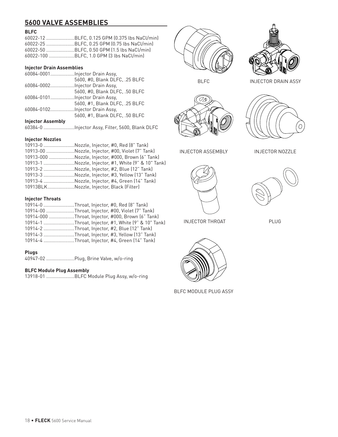# **5600 VALVE ASSEMBLIES**

#### **BLFC**

| 60022-12 BLFC, 0.125 GPM (0.375 lbs NaCl/min) |
|-----------------------------------------------|
| 60022-25 BLFC, 0.25 GPM (0.75 lbs NaCl/min)   |
| 60022-50 BLFC, 0.50 GPM (1.5 lbs NaCl/min)    |
| 60022-100 BLFC, 1.0 GPM (3 lbs NaCl/min)      |

#### **Injector Drain Assemblies**

| 60084-0001Injector Drain Assy, |                                |
|--------------------------------|--------------------------------|
|                                | 5600, #0, Blank DLFC, .25 BLFC |
| 60084-0002Injector Drain Assy. |                                |
|                                | 5600, #0, Blank DLFC, .50 BLFC |
| 60084-0101Injector Drain Assy, |                                |
|                                | 5600, #1, Blank DLFC, .25 BLFC |
| 60084-0102Injector Drain Assy. |                                |
|                                | 5600, #1, Blank DLFC, .50 BLFC |
| <b>Injector Assembly</b>       |                                |

#### **Injector Nozzles**

10913-0 .......................Nozzle, Injector, #0, Red (8" Tank) 10913-00 .....................Nozzle, Injector, #00, Violet (7" Tank) 10913-000 ...................Nozzle, Injector, #000, Brown (6" Tank) 10913-1 .......................Nozzle, Injector, #1, White (9" & 10" Tank) 10913-2 .......................Nozzle, Injector, #2, Blue (12" Tank) 10913-3 .......................Nozzle, Injector, #3, Yellow (13" Tank) 10913-4 .......................Nozzle, Injector, #4, Green (14" Tank) 10913BLK ....................Nozzle, Injector, Black (Filter)

#### **Injector Throats**

10914-0 .......................Throat, Injector, #0, Red (8" Tank) 10914-00 .....................Throat, Injector, #00, Violet (7" Tank) 10914-000 ...................Throat, Injector, #000, Brown (6" Tank) 10914-1 .......................Throat, Injector, #1, White (9" & 10" Tank) 10914-2 .......................Throat, Injector, #2, Blue (12" Tank) 10914-3 .......................Throat, Injector, #3, Yellow (13" Tank) 10914-4 .......................Throat, Injector, #4, Green (14" Tank)

#### **Plugs**

40947-02 .....................Plug, Brine Valve, w/o-ring

#### **BLFC Module Plug Assembly**

13918-01 .....................BLFC Module Plug Assy, w/o-ring





BLFC





INJECTOR DRAIN ASSY

INJECTOR ASSEMBLY **INJECTOR NOZZLE** 



INJECTOR THROAT



BLFC MODULE PLUG ASSY





PLUG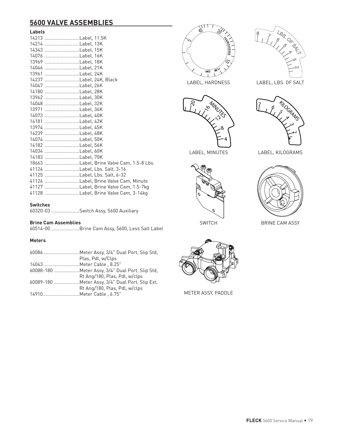# **5600 VALVE ASSEMBLIES**

### **Labels**

| 14213 Label, 11.5K                    |  |
|---------------------------------------|--|
| 14214 Label, 13K                      |  |
| 14343 Label, 15K                      |  |
| 14076 Label, 16K                      |  |
| 13969 Label, 18K                      |  |
| 14046 Label, 21K                      |  |
| 13961 Label, 24K                      |  |
| 14237 Label, 24K, Black               |  |
| 14047 Label, 26K                      |  |
| 14180 Label, 28K                      |  |
| 13962 Label, 30K                      |  |
| 14048 Label, 32K                      |  |
| 13971 Label, 36K                      |  |
| 14073 Label, 40K                      |  |
| 14181 Label, 42K                      |  |
| 13974 Label, 45K                      |  |
| 14239 Label, 48K                      |  |
| 14074 Label, 50K                      |  |
| 14182 Label, 56K                      |  |
| 14034 Label, 60K                      |  |
| 14183 Label, 70K                      |  |
|                                       |  |
|                                       |  |
|                                       |  |
|                                       |  |
| 41127 Label, Brine Valve Cam, 1.5-7kg |  |
| 41128 Label, Brine Valve Cam, 3-14kg  |  |

#### **Switches**

60320-03 .....................Switch Assy, 5600 Auxiliary

#### **Brine Cam Assemblies**

60514-00 .....................Brine Cam Assy, 5600, Less Salt Label

#### **Meters**

|                         | 60086Meter Assy, 3/4" Dual Port, Slip Std,      |
|-------------------------|-------------------------------------------------|
|                         | Plas, Pdl, w/Clps                               |
| 14043Meter Cable, 8.25" |                                                 |
|                         | 60088-180 Meter Assy, 3/4" Dual Port, Slip Std. |
|                         | Rt Ang/180, Plas, Pdl, w/clps                   |
|                         | 60089-180 Meter Assy, 3/4" Dual Port, Slip Ext, |
|                         | Rt Ang/180, Plas, Pdl, w/clps                   |
| 14910Meter Cable, 6.75" |                                                 |





LABEL, HARDNESS





LABEL, MINUTES







BRINE CAM ASSY



METER ASSY, PADDLE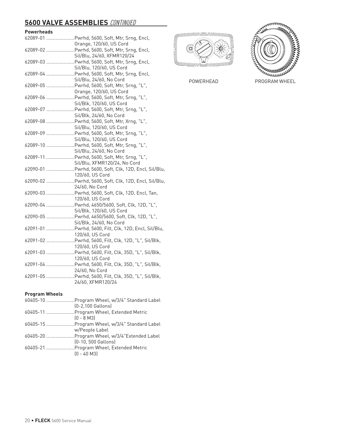# **5600 VALVE ASSEMBLIES CONTINUED**

## **Powerheads**

| wa nauz |                                                      |
|---------|------------------------------------------------------|
|         | 62089-01 Pwrhd, 5600, Soft, Mtr, Srng, Encl,         |
|         | Orange, 120/60, US Cord                              |
|         | 62089-02 Pwrhd, 5600, Soft, Mtr, Srng, Encl,         |
|         | Sil/Blu, 24/60, XFMR120/24                           |
|         | 62089-03  Pwrhd, 5600, Soft, Mtr, Srng, Encl,        |
|         | Sil/Blu, 120/60, US Cord                             |
|         | 62089-04 Pwrhd, 5600, Soft, Mtr, Srng, Encl,         |
|         | Sil/Blu, 24/60, No Cord                              |
|         | 62089-05 Pwrhd, 5600, Soft, Mtr, Srng, "L",          |
|         | Orange, 120/60, US Cord                              |
|         | 62089-06 Pwrhd, 5600, Soft, Mtr, Srng, "L",          |
|         | Sil/Blk, 120/60, US Cord                             |
|         | 62089-07 Pwrhd, 5600, Soft, Mtr, Srng, "L",          |
|         | Sil/Blk, 24/60, No Cord                              |
|         | 62089-08 Pwrhd, 5600, Soft, Mtr, Xrng, "L",          |
|         | Sil/Blu, 120/60, US Cord                             |
|         |                                                      |
|         | Sil/Blu, 120/60, US Cord                             |
|         | 62089-10 Pwrhd, 5600, Soft, Mtr, Srng, "L",          |
|         | Sil/Blu, 24/60, No Cord                              |
|         | 62089-11 Pwrhd, 5600, Soft, Mtr, Srng, "L",          |
|         | Sil/Blu, XFMR120/24, No Cord                         |
|         | 62090-01 Pwrhd, 5600, Soft, Clk, 12D, Encl, Sil/Blu, |
|         | 120/60, US Cord                                      |
|         | 62090-02 Pwrhd, 5600, Soft, Clk, 12D, Encl, Sil/Blu, |
|         | 24/60, No Cord                                       |
|         | 62090-03 Pwrhd, 5600, Soft, Clk, 12D, Encl, Tan,     |
|         | 120/60, US Cord                                      |
|         | 62090-04 Pwrhd, 4650/5600, Soft, Clk, 12D, "L",      |
|         | Sil/Blk, 120/60, US Cord                             |
|         | 62090-05 Pwrhd, 4650/5600, Soft, Clk, 12D, "L",      |
|         | Sil/Blk, 24/60, No Cord                              |
|         |                                                      |
|         | 120/60, US Cord                                      |
|         | 62091-02 Pwrhd, 5600, Filt, Clk, 12D, "L", Sil/Blk,  |
|         | 120/60, US Cord                                      |
|         | 62091-03 Pwrhd, 5600, Filt, Clk, 35D, "L", Sil/Blk,  |
|         | 120/60, US Cord                                      |
|         | 62091-04 Pwrhd, 5600, Filt, Clk, 35D, "L", Sil/Blk,  |
|         | 24/60, No Cord                                       |
|         | 62091-05 Pwrhd, 5600, Filt, Clk, 35D, "L", Sil/Blk,  |
|         | 24/60, XFMR120/24                                    |

#### **Program Wheels**

| 60405-10  Program Wheel, w/3/4" Standard Label |
|------------------------------------------------|
| $[0-2,100$ Gallons)                            |
| 60405-11 Program Wheel, Extended Metric        |
| $[0 - 8 M3]$                                   |
| 60405-15  Program Wheel, w/3/4" Standard Label |
| w/People Label                                 |
| 60405-20  Program Wheel, w/3/4"Extended Label  |
| $(0-10, 500$ Gallons)                          |
| 60405-21  Program Wheel, Extended Metric       |
| $[0 - 40 M3]$                                  |
|                                                |



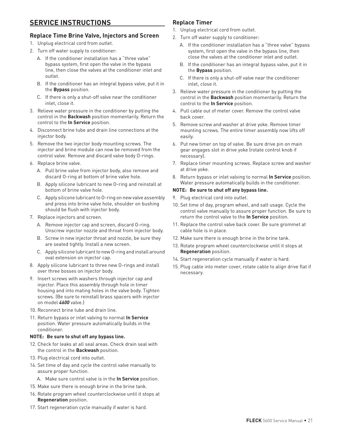#### **Replace Time Brine Valve, Injectors and Screen**

- 1. Unplug electrical cord from outlet.
- 2. Turn off water supply to conditioner:
	- A. If the conditioner installation has a "three valve" bypass system, first open the valve in the bypass line, then close the valves at the conditioner inlet and outlet.
	- B. If the conditioner has an integral bypass valve, put it in the **Bypass** position.
	- C. If there is only a shut-off valve near the conditioner inlet, close it.
- 3. Relieve water pressure in the conditioner by putting the control in the **Backwash** position momentarily. Return the control to the **In Service** position.
- 4. Disconnect brine tube and drain line connections at the injector body.
- 5. Remove the two injector body mounting screws. The injector and brine module can now be removed from the control valve. Remove and discard valve body O-rings.
- 6. Replace brine valve.
	- A. Pull brine valve from injector body, also remove and discard O-ring at bottom of brine valve hole.
	- B. Apply silicone lubricant to new O-ring and reinstall at bottom of brine valve hole.
	- C. Apply silicone lubricant to O-ring on new valve assembly and press into brine valve hole, shoulder on bushing should be flush with injector body.
- 7. Replace injectors and screen.
	- A. Remove injector cap and screen, discard O-ring. Unscrew injector nozzle and throat from injector body.
	- B. Screw in new injector throat and nozzle, be sure they are seated tightly. Install a new screen.
	- C. Apply silicone lubricant to new O-ring and install around oval extension on injector cap.
- 8. Apply silicone lubricant to three new O-rings and install over three bosses on injector body.
- 9. Insert screws with washers through injector cap and injector. Place this assembly through hole in timer housing and into mating holes in the valve body. Tighten screws. (Be sure to reinstall brass spacers with injector on model *4600* valve.)
- 10. Reconnect brine tube and drain line.
- 11. Return bypass or inlet valving to normal **In Service** position. Water pressure automatically builds in the conditioner.

#### **NOTE: Be sure to shut off any bypass line.**

- 12. Check for leaks at all seal areas. Check drain seal with the control in the **Backwash** position.
- 13. Plug electrical cord into outlet.
- 14. Set time of day and cycle the control valve manually to assure proper function.
	- A. Make sure control valve is in the **In Service** position.
- 15. Make sure there is enough brine in the brine tank.
- 16. Rotate program wheel counterclockwise until it stops at **Regeneration** position.
- 17. Start regeneration cycle manually if water is hard.

### **Replace Timer**

- 1. Unplug electrical cord from outlet.
- 2. Turn off water supply to conditioner:
	- A. If the conditioner installation has a "three valve" bypass system, first open the valve in the bypass line, then close the valves at the conditioner inlet and outlet.
	- B. If the conditioner has an integral bypass valve, put it in the **Bypass** position.
	- C. If there is only a shut-off valve near the conditioner inlet, close it.
- 3. Relieve water pressure in the conditioner by putting the control in the **Backwash** position momentarily. Return the control to the **In Service** position.
- 4. Pull cable out of meter cover. Remove the control valve back cover.
- 5. Remove screw and washer at drive yoke. Remove timer mounting screws. The entire timer assembly now lifts off easily.
- 6. Put new timer on top of valve. Be sure drive pin on main gear engages slot in drive yoke (rotate control knob if necessary).
- 7. Replace timer mounting screws. Replace screw and washer at drive yoke.
- 8. Return bypass or inlet valving to normal **In Service** position. Water pressure automatically builds in the conditioner.

#### **NOTE: Be sure to shut off any bypass line.**

- 9. Plug electrical cord into outlet.
- 10. Set time of day, program wheel, and salt usage. Cycle the control valve manually to assure proper function. Be sure to return the control valve to the **In Service** position.
- 11. Replace the control valve back cover. Be sure grommet at cable hole is in place.
- 12. Make sure there is enough brine in the brine tank.
- 13. Rotate program wheel counterclockwise until it stops at **Regeneration** position.
- 14. Start regeneration cycle manually if water is hard.
- 15. Plug cable into meter cover, rotate cable to align drive flat if necessary.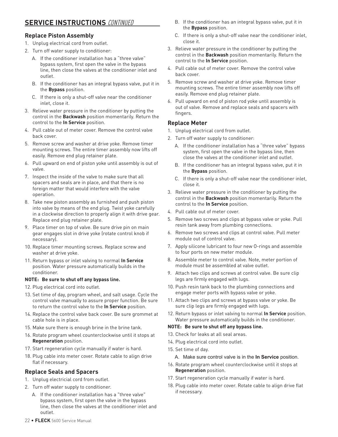# **SERVICE INSTRUCTIONS CONTINUED**

#### **Replace Piston Assembly**

- 1. Unplug electrical cord from outlet.
- 2. Turn off water supply to conditioner:
	- A. If the conditioner installation has a "three valve" bypass system, first open the valve in the bypass line, then close the valves at the conditioner inlet and outlet.
	- B. If the conditioner has an integral bypass valve, put it in the **Bypass** position.
	- C. If there is only a shut-off valve near the conditioner inlet, close it.
- 3. Relieve water pressure in the conditioner by putting the control in the **Backwash** position momentarily. Return the control to the **In Service** position.
- 4. Pull cable out of meter cover. Remove the control valve back cover.
- 5. Remove screw and washer at drive yoke. Remove timer mounting screws. The entire timer assembly now lifts off easily. Remove end plug retainer plate.
- 6. Pull upward on end of piston yoke until assembly is out of valve.
- 7. Inspect the inside of the valve to make sure that all spacers and seals are in place, and that there is no foreign matter that would interfere with the valve operation.
- 8. Take new piston assembly as furnished and push piston into valve by means of the end plug. Twist yoke carefully in a clockwise direction to properly align it with drive gear. Replace end plug retainer plate.
- 9. Place timer on top of valve. Be sure drive pin on main gear engages slot in drive yoke (rotate control knob if necessary).
- 10. Replace timer mounting screws. Replace screw and washer at drive yoke.
- 11. Return bypass or inlet valving to normal **In Service** position. Water pressure automatically builds in the conditioner.

#### **NOTE: Be sure to shut off any bypass line.**

- 12. Plug electrical cord into outlet.
- 13. Set time of day, program wheel, and salt usage. Cycle the control valve manually to assure proper function. Be sure to return the control valve to the **In Service** position.
- 14. Replace the control valve back cover. Be sure grommet at cable hole is in place.
- 15. Make sure there is enough brine in the brine tank.
- 16. Rotate program wheel counterclockwise until it stops at **Regeneration** position.
- 17. Start regeneration cycle manually if water is hard.
- 18. Plug cable into meter cover. Rotate cable to align drive flat if necessary.

#### **Replace Seals and Spacers**

- 1. Unplug electricial cord from outlet.
- 2. Turn off water supply to conditioner.
	- A. If the conditioner installation has a "three valve" bypass system, first open the valve in the bypass line, then close the valves at the conditioner inlet and outlet.
- B. If the conditioner has an integral bypass valve, put it in the **Bypass** position.
- C. If there is only a shut-off valve near the conditioner inlet, close it.
- 3. Relieve water pressure in the conditioner by putting the control in the **Backwash** position momentarily. Return the control to the **In Service** position.
- 4. Pull cable out of meter cover. Remove the control valve back cover.
- 5. Remove screw and washer at drive yoke. Remove timer mounting screws. The entire timer assembly now lifts off easily. Remove end plug retainer plate.
- 6. Pull upward on end of piston rod yoke until assembly is out of valve. Remove and replace seals and spacers with fingers.

#### **Replace Meter**

- 1. Unplug electrical cord from outlet.
- 2. Turn off water supply to conditioner:
	- A. If the conditioner installation has a "three valve" bypass system, first open the valve in the bypass line, then close the valves at the conditioner inlet and outlet.
	- B. If the conditioner has an integral bypass valve, put it in the **Bypass** position.
	- C. If there is only a shut-off valve near the conditioner inlet, close it.
- 3. Relieve water pressure in the conditioner by putting the control in the **Backwash** position momentarily. Return the control to the **In Service** position.
- 4. Pull cable out of meter cover.
- 5. Remove two screws and clips at bypass valve or yoke. Pull resin tank away from plumbing connections.
- 6. Remove two screws and clips at control valve. Pull meter module out of control valve.
- 7. Apply silicone lubricant to four new O-rings and assemble to four ports on new meter module.
- 8. Assemble meter to control valve. Note, meter portion of module must be assembled at valve outlet.
- 9. Attach two clips and screws at control valve. Be sure clip legs are firmly engaged with lugs.
- 10. Push resin tank back to the plumbing connections and engage meter ports with bypass valve or yoke.
- 11. Attach two clips and screws at bypass valve or yoke. Be sure clip legs are firmly engaged with lugs.
- 12. Return bypass or inlet valving to normal **In Service** position. Water pressure automatically builds in the conditioner.

#### **NOTE: Be sure to shut off any bypass line.**

- 13. Check for leaks at all seal areas.
- 14. Plug electrical cord into outlet.
- 15. Set time of day.

#### A. Make sure control valve is in the **In Service** position.

- 16. Rotate program wheel counterclockwise until it stops at **Regeneration** position.
- 17. Start regeneration cycle manually if water is hard.
- 18. Plug cable into meter cover. Rotate cable to align drive flat if necessary.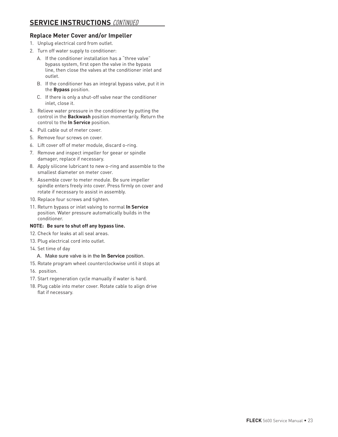### **Replace Meter Cover and/or Impeller**

- 1. Unplug electrical cord from outlet.
- 2. Turn off water supply to conditioner:
	- A. If the conditioner installation has a "three valve" bypass system, first open the valve in the bypass line, then close the valves at the conditioner inlet and outlet.
	- B. If the conditioner has an integral bypass valve, put it in the **Bypass** position.
	- C. If there is only a shut-off valve near the conditioner inlet, close it.
- 3. Relieve water pressure in the conditioner by putting the control in the **Backwash** position momentarily. Return the control to the **In Service** position.
- 4. Pull cable out of meter cover.
- 5. Remove four screws on cover.
- 6. Lift cover off of meter module, discard o-ring.
- 7. Remove and inspect impeller for geear or spindle damager, replace if necessary.
- 8. Apply silicone lubricant to new o-ring and assemble to the smallest diameter on meter cover.
- 9. Assemble cover to meter module. Be sure impeller spindle enters freely into cover. Press firmly on cover and rotate if necessary to assist in assembly.
- 10. Replace four screws and tighten.
- 11. Return bypass or inlet valving to normal **In Service** position. Water pressure automatically builds in the conditioner.

#### **NOTE: Be sure to shut off any bypass line.**

- 12. Check for leaks at all seal areas.
- 13. Plug electrical cord into outlet.
- 14. Set time of day

#### A. Make sure valve is in the **In Service** position.

- 15. Rotate program wheel counterclockwise until it stops at
- 16. position.
- 17. Start regeneration cycle manually if water is hard.
- 18. Plug cable into meter cover. Rotate cable to align drive flat if necessary.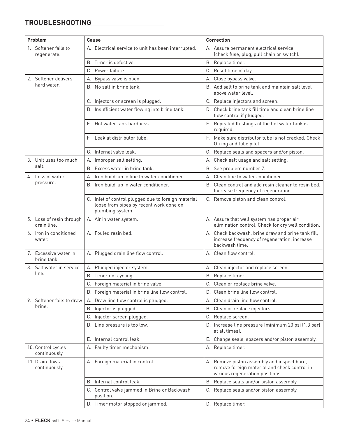# **TROUBLESHOOTING**

| Problem                                 | Cause                                                                                                              | <b>Correction</b>                                                                                                              |
|-----------------------------------------|--------------------------------------------------------------------------------------------------------------------|--------------------------------------------------------------------------------------------------------------------------------|
| 1. Softener fails to<br>regenerate.     | A. Electrical service to unit has been interrupted.                                                                | A. Assure permanent electrical service<br>(check fuse, plug, pull chain or switch).                                            |
|                                         | B. Timer is defective.                                                                                             | B. Replace timer.                                                                                                              |
|                                         | C. Power failure.                                                                                                  | C. Reset time of day.                                                                                                          |
| 2. Softener delivers                    | A. Bypass valve is open.                                                                                           | A. Close bypass valve.                                                                                                         |
| hard water.                             | B. No salt in brine tank.                                                                                          | B. Add salt to brine tank and maintain salt level<br>above water level.                                                        |
|                                         | C. Injectors or screen is plugged.                                                                                 | C. Replace injectors and screen.                                                                                               |
|                                         | D. Insufficient water flowing into brine tank.                                                                     | D. Check brine tank fill time and clean brine line<br>flow control if plugged.                                                 |
|                                         | E. Hot water tank hardness.                                                                                        | E. Repeated flushings of the hot water tank is<br>required.                                                                    |
|                                         | F. Leak at distributor tube.                                                                                       | F. Make sure distributor tube is not cracked. Check<br>O-ring and tube pilot.                                                  |
|                                         | G. Internal valve leak.                                                                                            | G. Replace seals and spacers and/or piston.                                                                                    |
| 3. Unit uses too much                   | A. Improper salt setting.                                                                                          | A. Check salt usage and salt setting.                                                                                          |
| salt.                                   | B. Excess water in brine tank.                                                                                     | B. See problem number 7.                                                                                                       |
| 4. Loss of water                        | A. Iron build-up in line to water conditioner.                                                                     | A. Clean line to water conditioner.                                                                                            |
| pressure.                               | B. Iron build-up in water conditioner.                                                                             | B. Clean control and add resin cleaner to resin bed.<br>Increase frequency of regeneration.                                    |
|                                         | C. Inlet of control plugged due to foreign material<br>loose from pipes by recent work done on<br>plumbing system. | C. Remove piston and clean control.                                                                                            |
| 5. Loss of resin through<br>drain line. | A. Air in water system.                                                                                            | A. Assure that well system has proper air<br>elimination control, Check for dry well condition.                                |
| 6. Iron in conditioned<br>water.        | A. Fouled resin bed.                                                                                               | A. Check backwash, brine draw and brine tank fill,<br>increase frequency of regeneration, increase<br>backwash time.           |
| 7. Excessive water in<br>brine tank.    | A. Plugged drain line flow control.                                                                                | A. Clean flow control.                                                                                                         |
| 8. Salt water in service                | Plugged injector system.<br>А.                                                                                     | A. Clean injector and replace screen.                                                                                          |
| line.                                   | B. Timer not cycling.                                                                                              | B. Replace timer.                                                                                                              |
|                                         | C. Foreign material in brine valve.                                                                                | C. Clean or replace brine valve.                                                                                               |
|                                         | D. Foreign material in brine line flow control.                                                                    | D. Clean brine line flow control.                                                                                              |
| 9. Softener fails to draw               | Draw line flow control is plugged.<br>А.                                                                           | A. Clean drain line flow control.                                                                                              |
| brine.                                  | B. Injector is plugged.                                                                                            | B. Clean or replace injectors.                                                                                                 |
|                                         | C. Injector screen plugged.                                                                                        | C. Replace screen.                                                                                                             |
|                                         | D. Line pressure is too low.                                                                                       | D. Increase line pressure (minimum 20 psi (1.3 bar)<br>at all times).                                                          |
|                                         | E. Internal control leak.                                                                                          | E. Change seals, spacers and/or piston assembly.                                                                               |
| 10. Control cycles<br>continuously.     | A. Faulty timer mechanism.                                                                                         | A. Replace timer.                                                                                                              |
| 11. Drain flows<br>continuously.        | A. Foreign material in control.                                                                                    | A. Remove piston assembly and inspect bore,<br>remove foreign material and check control in<br>various regeneration positions. |
|                                         | B. Internal control leak.                                                                                          | B. Replace seals and/or piston assembly.                                                                                       |
|                                         | C. Control valve jammed in Brine or Backwash<br>position.                                                          | C. Replace seals and/or piston assembly.                                                                                       |
|                                         | D. Timer motor stopped or jammed.                                                                                  | D. Replace timer.                                                                                                              |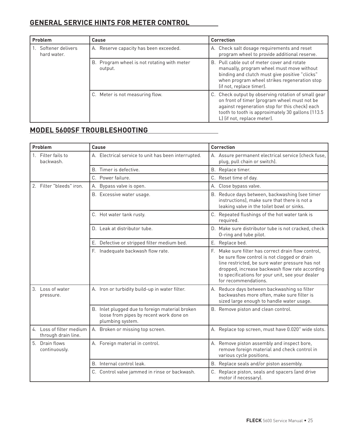# **GENERAL SERVICE HINTS FOR METER CONTROL**

| Problem                          | Cause                                                  | <b>Correction</b>                                                                                                                                                                                                                         |
|----------------------------------|--------------------------------------------------------|-------------------------------------------------------------------------------------------------------------------------------------------------------------------------------------------------------------------------------------------|
| Softener delivers<br>hard water. | A. Reserve capacity has been exceeded.                 | A. Check salt dosage requirements and reset<br>program wheel to provide additional reserve.                                                                                                                                               |
|                                  | B. Program wheel is not rotating with meter<br>output. | B. Pull cable out of meter cover and rotate<br>manually, program wheel must move without<br>binding and clutch must give positive "clicks"<br>when program wheel strikes regeneration stop<br>(if not, replace timer).                    |
|                                  | C. Meter is not measuring flow.                        | C. Check output by observing rotation of small gear<br>on front of timer (program wheel must not be<br>against regeneration stop for this check) each<br>tooth to tooth is approximately 30 gallons (113.5<br>L) (if not, replace meter). |

# **MODEL 5600SF TROUBLESHOOTING**

| Problem                                         | Cause                                                                                                          | <b>Correction</b>                                                                                                                                                                                                                                                                    |
|-------------------------------------------------|----------------------------------------------------------------------------------------------------------------|--------------------------------------------------------------------------------------------------------------------------------------------------------------------------------------------------------------------------------------------------------------------------------------|
| 1. Filter fails to<br>backwash.                 | A. Electrical service to unit has been interrupted.                                                            | A. Assure permanent electrical service (check fuse,<br>plug, pull chain or switch).                                                                                                                                                                                                  |
|                                                 | B. Timer is defective.                                                                                         | B. Replace timer.                                                                                                                                                                                                                                                                    |
|                                                 | C. Power failure.                                                                                              | C. Reset time of day.                                                                                                                                                                                                                                                                |
| 2. Filter "bleeds" iron.                        | A. Bypass valve is open.                                                                                       | A. Close bypass valve.                                                                                                                                                                                                                                                               |
|                                                 | B. Excessive water usage.                                                                                      | B. Reduce days between, backwashing (see timer<br>instructions), make sure that there is not a<br>leaking valve in the toilet bowl or sinks.                                                                                                                                         |
|                                                 | C. Hot water tank rusty.                                                                                       | C. Repeated flushings of the hot water tank is<br>required.                                                                                                                                                                                                                          |
|                                                 | D. Leak at distributor tube.                                                                                   | D. Make sure distributor tube is not cracked, check<br>O-ring and tube pilot.                                                                                                                                                                                                        |
|                                                 | E. Defective or stripped filter medium bed.                                                                    | E. Replace bed.                                                                                                                                                                                                                                                                      |
|                                                 | F. Inadequate backwash flow rate.                                                                              | F. Make sure filter has correct drain flow control.<br>be sure flow control is not clogged or drain<br>line restricted, be sure water pressure has not<br>dropped, increase backwash flow rate according<br>to specifications for your unit, see your dealer<br>for recommendations. |
| 3. Loss of water<br>pressure.                   | A. Iron or turbidity build-up in water filter.                                                                 | A. Reduce days between backwashing so filter<br>backwashes more often, make sure filter is<br>sized large enough to handle water usage.                                                                                                                                              |
|                                                 | B. Inlet plugged due to foreign material broken<br>loose from pipes by recent work done on<br>plumbing system. | B. Remove piston and clean control.                                                                                                                                                                                                                                                  |
| 4. Loss of filter medium<br>through drain line. | A. Broken or missing top screen.                                                                               | A. Replace top screen, must have 0.020" wide slots.                                                                                                                                                                                                                                  |
| 5. Drain flows<br>continuously.                 | A. Foreign material in control.                                                                                | A. Remove piston assembly and inspect bore,<br>remove foreign material and check control in<br>various cycle positions.                                                                                                                                                              |
|                                                 | B. Internal control leak.                                                                                      | B. Replace seals and/or piston assembly.                                                                                                                                                                                                                                             |
|                                                 | C. Control valve jammed in rinse or backwash.                                                                  | C. Replace piston, seals and spacers (and drive<br>motor if necessary).                                                                                                                                                                                                              |